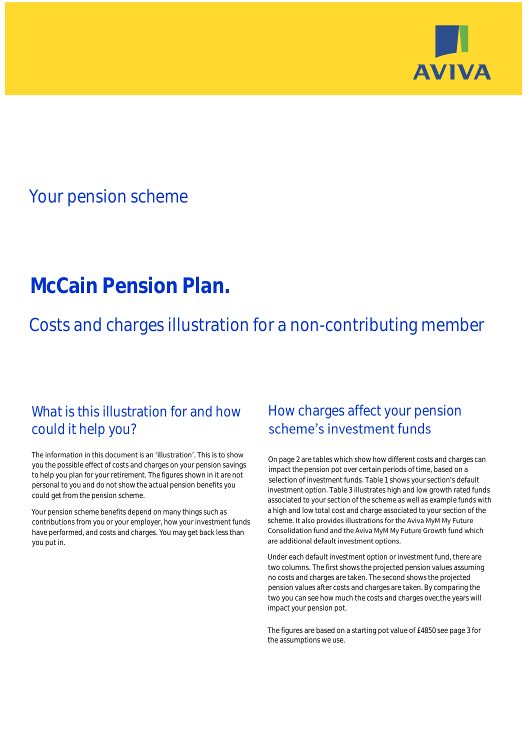

## Your pension scheme

# **McCain Pension Plan.**

Costs and charges illustration for a non-contributing member

### What is this illustration for and how could it help you?

#### The information in this document is an 'illustration'. This is to show you the possible effect of costs and charges on your pension savings to help you plan for your retirement. The figures shown in it are not personal to you and do not show the actual pension benefits you could get from the pension scheme.

Your pension scheme benefits depend on many things such as contributions from you or your employer, how your investment funds have performed, and costs and charges. You may get back less than you put in.

### How charges affect your pension scheme's investment funds

On page 2 are tables which show how different costs and charges can impact the pension pot over certain periods of time, based on a selection of investment funds. Table 1 shows your section's default investment option. Table 3 illustrates high and low growth rated funds associated to your section of the scheme as well as example funds with a high and low total cost and charge associated to your section of the scheme. It also provides illustrations for the Aviva MyM My Future Consolidation fund and the Aviva MyM My Future Growth fund which are additional default investment options.

Under each default investment option or investment fund, there are two columns. The first shows the projected pension values assuming no costs and charges are taken. The second shows the projected pension values after costs and charges are taken. By comparing the two you can see how much the costs and charges over\_the years will impact your pension pot.

The figures are based on a starting pot value of £4850 see page 3 for the assumptions we use.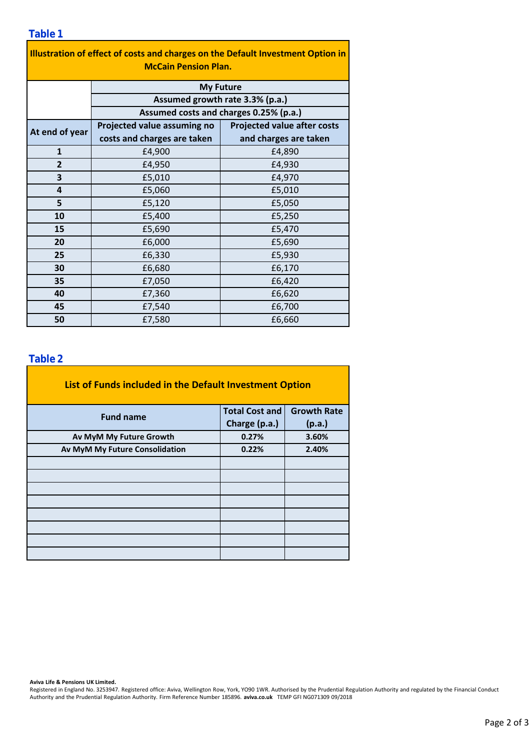**Illustration of effect of costs and charges on the Default Investment Option in McCain Pension Plan.**

|                | <b>My Future</b>                       |                                    |  |  |  |  |
|----------------|----------------------------------------|------------------------------------|--|--|--|--|
|                | Assumed growth rate 3.3% (p.a.)        |                                    |  |  |  |  |
|                | Assumed costs and charges 0.25% (p.a.) |                                    |  |  |  |  |
| At end of year | Projected value assuming no            | <b>Projected value after costs</b> |  |  |  |  |
|                | costs and charges are taken            | and charges are taken              |  |  |  |  |
| $\mathbf{1}$   | £4,900                                 | £4,890                             |  |  |  |  |
| $\overline{2}$ | £4,950                                 | £4,930                             |  |  |  |  |
| 3              | £5,010                                 | £4,970                             |  |  |  |  |
| $\overline{a}$ | £5,060                                 | £5,010                             |  |  |  |  |
| 5              | £5,120                                 | £5,050                             |  |  |  |  |
| 10             | £5,400                                 | £5,250                             |  |  |  |  |
| 15             | £5,690                                 | £5,470                             |  |  |  |  |
| 20             | £6,000                                 | £5,690                             |  |  |  |  |
| 25             | £6,330                                 | £5,930                             |  |  |  |  |
| 30             | £6,680                                 | £6,170                             |  |  |  |  |
| 35             | £7,050                                 | £6,420                             |  |  |  |  |
| 40             | £7,360                                 | £6,620                             |  |  |  |  |
| 45             | £7,540                                 | £6,700                             |  |  |  |  |
| 50             | £7,580                                 | £6,660                             |  |  |  |  |

#### **Table 2**

| List of Funds included in the Default Investment Option |                       |                    |  |  |  |
|---------------------------------------------------------|-----------------------|--------------------|--|--|--|
| <b>Fund name</b>                                        | <b>Total Cost and</b> | <b>Growth Rate</b> |  |  |  |
|                                                         | Charge (p.a.)         | (p.a.)             |  |  |  |
| Av MyM My Future Growth                                 | 0.27%                 | 3.60%              |  |  |  |
| Av MyM My Future Consolidation                          | 0.22%                 | 2.40%              |  |  |  |
|                                                         |                       |                    |  |  |  |
|                                                         |                       |                    |  |  |  |
|                                                         |                       |                    |  |  |  |
|                                                         |                       |                    |  |  |  |
|                                                         |                       |                    |  |  |  |
|                                                         |                       |                    |  |  |  |
|                                                         |                       |                    |  |  |  |
|                                                         |                       |                    |  |  |  |

**Aviva Life & Pensions UK Limited.**

Registered in England No. 3253947. Registered office: Aviva, Wellington Row, York, YO90 1WR. Authorised by the Prudential Regulation Authority and regulated by the Financial Conduct Authority and the Prudential Regulation Authority. Firm Reference Number 185896. **aviva.co.uk** TEMP GFI NG071309 09/2018